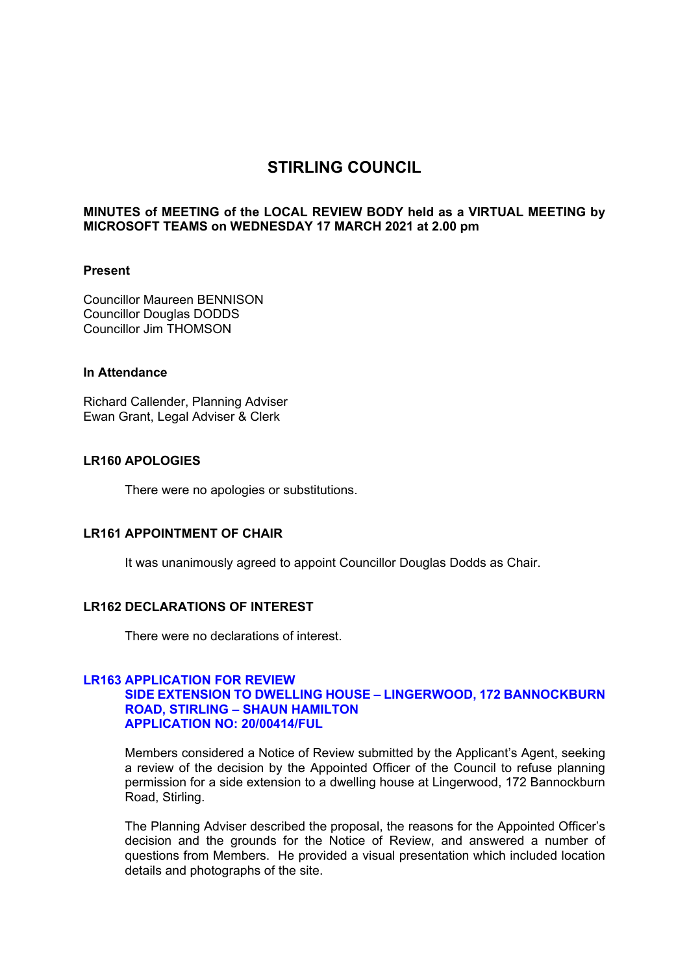# **STIRLING COUNCIL**

### **MINUTES of MEETING of the LOCAL REVIEW BODY held as a VIRTUAL MEETING by MICROSOFT TEAMS on WEDNESDAY 17 MARCH 2021 at 2.00 pm**

### **Present**

Councillor Maureen BENNISON Councillor Douglas DODDS Councillor Jim THOMSON

# **In Attendance**

Richard Callender, Planning Adviser Ewan Grant, Legal Adviser & Clerk

### **LR160 APOLOGIES**

There were no apologies or substitutions.

### **LR161 APPOINTMENT OF CHAIR**

It was unanimously agreed to appoint Councillor Douglas Dodds as Chair.

### **LR162 DECLARATIONS OF INTEREST**

There were no declarations of interest.

### **LR163 APPLICATION FOR REVIEW SIDE EXTENSION TO DWELLING HOUSE – LINGERWOOD, 172 BANNOCKBURN ROAD, STIRLING – SHAUN HAMILTON APPLICATION NO: 20/00414/FUL**

Members considered a Notice of Review submitted by the Applicant's Agent, seeking a review of the decision by the Appointed Officer of the Council to refuse planning permission for a side extension to a dwelling house at Lingerwood, 172 Bannockburn Road, Stirling.

The Planning Adviser described the proposal, the reasons for the Appointed Officer's decision and the grounds for the Notice of Review, and answered a number of questions from Members. He provided a visual presentation which included location details and photographs of the site.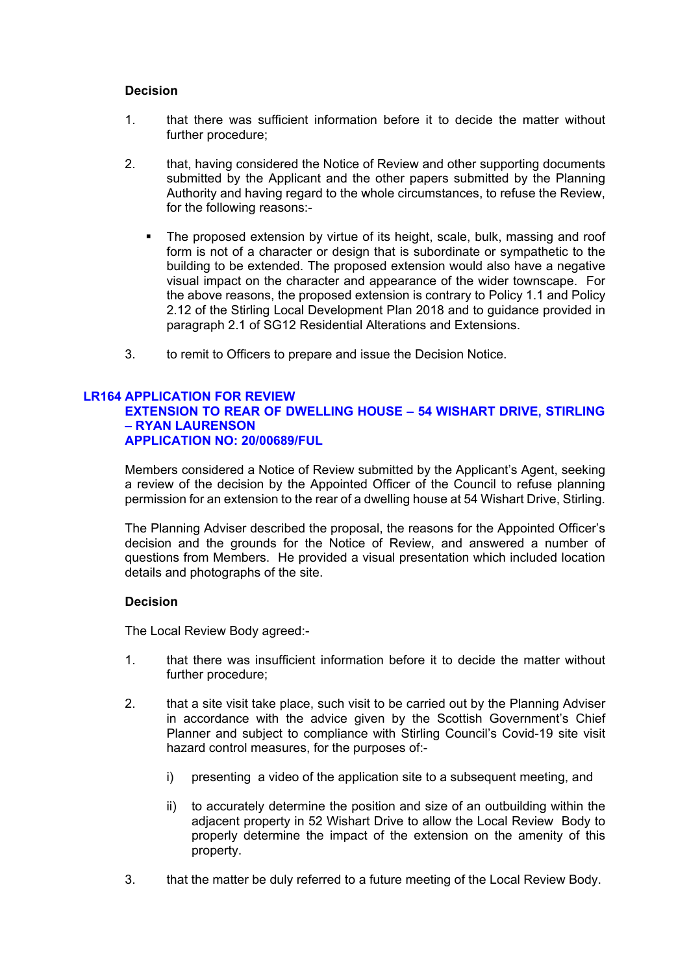### **Decision**

- 1. that there was sufficient information before it to decide the matter without further procedure;
- 2. that, having considered the Notice of Review and other supporting documents submitted by the Applicant and the other papers submitted by the Planning Authority and having regard to the whole circumstances, to refuse the Review, for the following reasons:-
	- The proposed extension by virtue of its height, scale, bulk, massing and roof form is not of a character or design that is subordinate or sympathetic to the building to be extended. The proposed extension would also have a negative visual impact on the character and appearance of the wider townscape. For the above reasons, the proposed extension is contrary to Policy 1.1 and Policy 2.12 of the Stirling Local Development Plan 2018 and to guidance provided in paragraph 2.1 of SG12 Residential Alterations and Extensions.
- 3. to remit to Officers to prepare and issue the Decision Notice.

# **LR164 APPLICATION FOR REVIEW**

# **EXTENSION TO REAR OF DWELLING HOUSE – 54 WISHART DRIVE, STIRLING – RYAN LAURENSON APPLICATION NO: 20/00689/FUL**

Members considered a Notice of Review submitted by the Applicant's Agent, seeking a review of the decision by the Appointed Officer of the Council to refuse planning permission for an extension to the rear of a dwelling house at 54 Wishart Drive, Stirling.

The Planning Adviser described the proposal, the reasons for the Appointed Officer's decision and the grounds for the Notice of Review, and answered a number of questions from Members. He provided a visual presentation which included location details and photographs of the site.

# **Decision**

The Local Review Body agreed:-

- 1. that there was insufficient information before it to decide the matter without further procedure;
- 2. that a site visit take place, such visit to be carried out by the Planning Adviser in accordance with the advice given by the Scottish Government's Chief Planner and subject to compliance with Stirling Council's Covid-19 site visit hazard control measures, for the purposes of:
	- i) presenting a video of the application site to a subsequent meeting, and
	- ii) to accurately determine the position and size of an outbuilding within the adjacent property in 52 Wishart Drive to allow the Local Review Body to properly determine the impact of the extension on the amenity of this property.
- 3. that the matter be duly referred to a future meeting of the Local Review Body.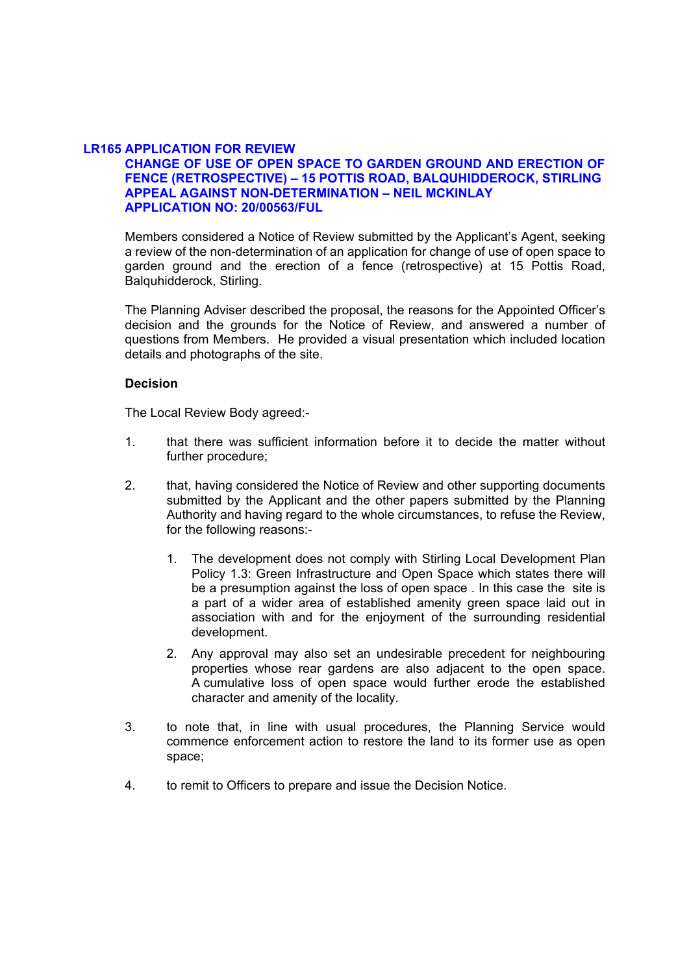# **LR165 APPLICATION FOR REVIEW**

# **CHANGE OF USE OF OPEN SPACE TO GARDEN GROUND AND ERECTION OF FENCE (RETROSPECTIVE) – 15 POTTIS ROAD, BALQUHIDDEROCK, STIRLING APPEAL AGAINST NON-DETERMINATION – NEIL MCKINLAY APPLICATION NO: 20/00563/FUL**

Members considered a Notice of Review submitted by the Applicant's Agent, seeking a review of the non-determination of an application for change of use of open space to garden ground and the erection of a fence (retrospective) at 15 Pottis Road, Balquhidderock, Stirling.

The Planning Adviser described the proposal, the reasons for the Appointed Officer's decision and the grounds for the Notice of Review, and answered a number of questions from Members. He provided a visual presentation which included location details and photographs of the site.

## **Decision**

The Local Review Body agreed:-

- 1. that there was sufficient information before it to decide the matter without further procedure;
- 2. that, having considered the Notice of Review and other supporting documents submitted by the Applicant and the other papers submitted by the Planning Authority and having regard to the whole circumstances, to refuse the Review, for the following reasons:-
	- 1. The development does not comply with Stirling Local Development Plan Policy 1.3: Green Infrastructure and Open Space which states there will be a presumption against the loss of open space . In this case the site is a part of a wider area of established amenity green space laid out in association with and for the enjoyment of the surrounding residential development.
	- 2. Any approval may also set an undesirable precedent for neighbouring properties whose rear gardens are also adjacent to the open space. A cumulative loss of open space would further erode the established character and amenity of the locality.
- 3. to note that, in line with usual procedures, the Planning Service would commence enforcement action to restore the land to its former use as open space;
- 4. to remit to Officers to prepare and issue the Decision Notice.